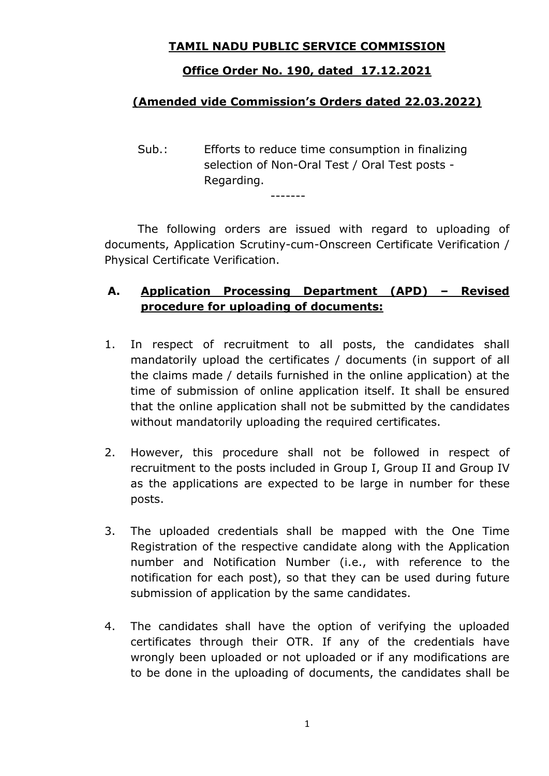## **TAMIL NADU PUBLIC SERVICE COMMISSION**

## **Office Order No. 190, dated 17.12.2021**

# **(Amended vide Commission's Orders dated 22.03.2022)**

Sub.: Efforts to reduce time consumption in finalizing selection of Non-Oral Test / Oral Test posts - Regarding.

-------

 The following orders are issued with regard to uploading of documents, Application Scrutiny-cum-Onscreen Certificate Verification / Physical Certificate Verification.

# **A. Application Processing Department (APD) – Revised procedure for uploading of documents:**

- 1. In respect of recruitment to all posts, the candidates shall mandatorily upload the certificates / documents (in support of all the claims made / details furnished in the online application) at the time of submission of online application itself. It shall be ensured that the online application shall not be submitted by the candidates without mandatorily uploading the required certificates.
- 2. However, this procedure shall not be followed in respect of recruitment to the posts included in Group I, Group II and Group IV as the applications are expected to be large in number for these posts.
- 3. The uploaded credentials shall be mapped with the One Time Registration of the respective candidate along with the Application number and Notification Number (i.e., with reference to the notification for each post), so that they can be used during future submission of application by the same candidates.
- 4. The candidates shall have the option of verifying the uploaded certificates through their OTR. If any of the credentials have wrongly been uploaded or not uploaded or if any modifications are to be done in the uploading of documents, the candidates shall be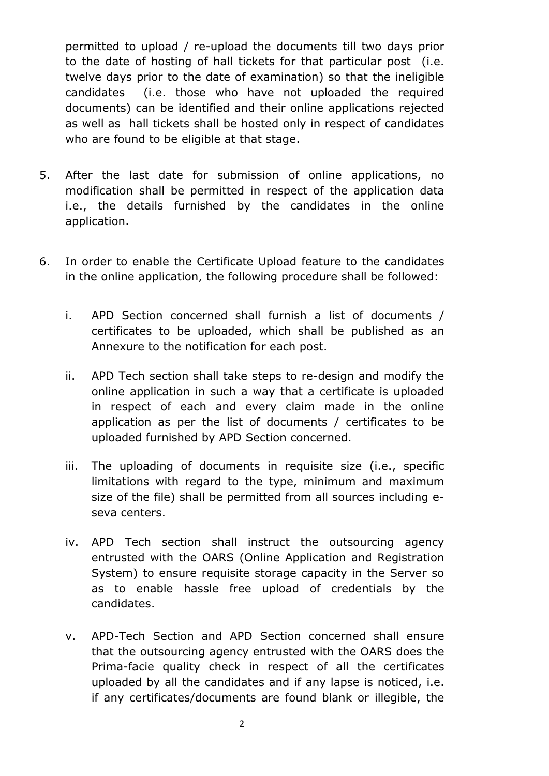permitted to upload / re-upload the documents till two days prior to the date of hosting of hall tickets for that particular post (i.e. twelve days prior to the date of examination) so that the ineligible candidates (i.e. those who have not uploaded the required documents) can be identified and their online applications rejected as well as hall tickets shall be hosted only in respect of candidates who are found to be eligible at that stage.

- 5. After the last date for submission of online applications, no modification shall be permitted in respect of the application data i.e., the details furnished by the candidates in the online application.
- 6. In order to enable the Certificate Upload feature to the candidates in the online application, the following procedure shall be followed:
	- i. APD Section concerned shall furnish a list of documents / certificates to be uploaded, which shall be published as an Annexure to the notification for each post.
	- ii. APD Tech section shall take steps to re-design and modify the online application in such a way that a certificate is uploaded in respect of each and every claim made in the online application as per the list of documents / certificates to be uploaded furnished by APD Section concerned.
	- iii. The uploading of documents in requisite size (i.e., specific limitations with regard to the type, minimum and maximum size of the file) shall be permitted from all sources including eseva centers.
	- iv. APD Tech section shall instruct the outsourcing agency entrusted with the OARS (Online Application and Registration System) to ensure requisite storage capacity in the Server so as to enable hassle free upload of credentials by the candidates.
	- v. APD-Tech Section and APD Section concerned shall ensure that the outsourcing agency entrusted with the OARS does the Prima-facie quality check in respect of all the certificates uploaded by all the candidates and if any lapse is noticed, i.e. if any certificates/documents are found blank or illegible, the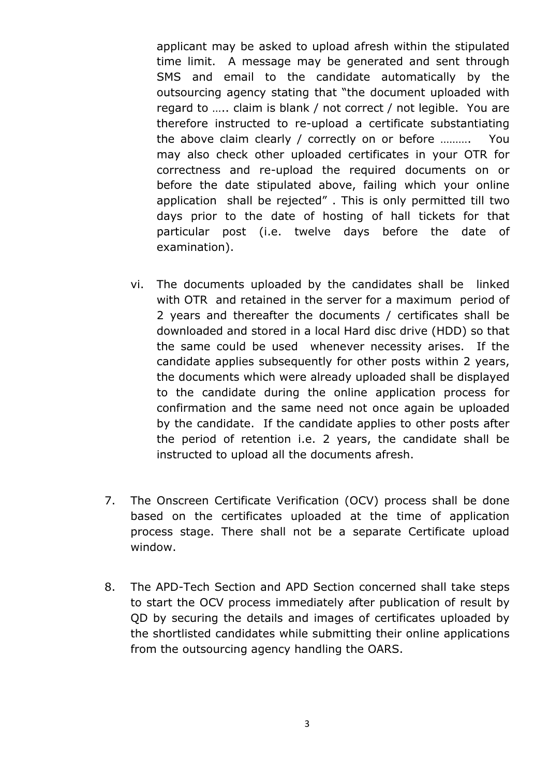applicant may be asked to upload afresh within the stipulated time limit. A message may be generated and sent through SMS and email to the candidate automatically by the outsourcing agency stating that "the document uploaded with regard to ….. claim is blank / not correct / not legible. You are therefore instructed to re-upload a certificate substantiating the above claim clearly / correctly on or before ………. You may also check other uploaded certificates in your OTR for correctness and re-upload the required documents on or before the date stipulated above, failing which your online application shall be rejected" . This is only permitted till two days prior to the date of hosting of hall tickets for that particular post (i.e. twelve days before the date of examination).

- vi. The documents uploaded by the candidates shall be linked with OTR and retained in the server for a maximum period of 2 years and thereafter the documents / certificates shall be downloaded and stored in a local Hard disc drive (HDD) so that the same could be used whenever necessity arises. If the candidate applies subsequently for other posts within 2 years, the documents which were already uploaded shall be displayed to the candidate during the online application process for confirmation and the same need not once again be uploaded by the candidate. If the candidate applies to other posts after the period of retention i.e. 2 years, the candidate shall be instructed to upload all the documents afresh.
- 7. The Onscreen Certificate Verification (OCV) process shall be done based on the certificates uploaded at the time of application process stage. There shall not be a separate Certificate upload window.
- 8. The APD-Tech Section and APD Section concerned shall take steps to start the OCV process immediately after publication of result by QD by securing the details and images of certificates uploaded by the shortlisted candidates while submitting their online applications from the outsourcing agency handling the OARS.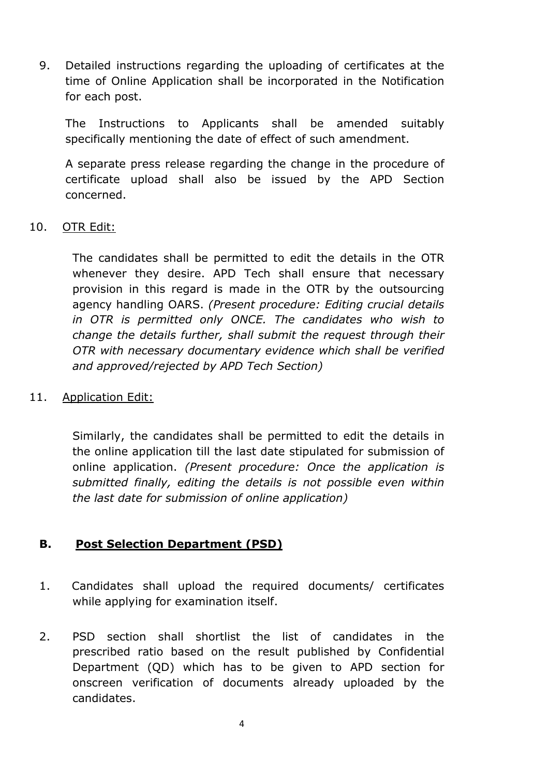9. Detailed instructions regarding the uploading of certificates at the time of Online Application shall be incorporated in the Notification for each post.

The Instructions to Applicants shall be amended suitably specifically mentioning the date of effect of such amendment.

A separate press release regarding the change in the procedure of certificate upload shall also be issued by the APD Section concerned.

#### 10. OTR Edit:

The candidates shall be permitted to edit the details in the OTR whenever they desire. APD Tech shall ensure that necessary provision in this regard is made in the OTR by the outsourcing agency handling OARS. *(Present procedure: Editing crucial details in OTR is permitted only ONCE. The candidates who wish to change the details further, shall submit the request through their OTR with necessary documentary evidence which shall be verified and approved/rejected by APD Tech Section)* 

#### 11. Application Edit:

Similarly, the candidates shall be permitted to edit the details in the online application till the last date stipulated for submission of online application. *(Present procedure: Once the application is submitted finally, editing the details is not possible even within the last date for submission of online application)*

## **B. Post Selection Department (PSD)**

- 1. Candidates shall upload the required documents/ certificates while applying for examination itself.
- 2. PSD section shall shortlist the list of candidates in the prescribed ratio based on the result published by Confidential Department (QD) which has to be given to APD section for onscreen verification of documents already uploaded by the candidates.